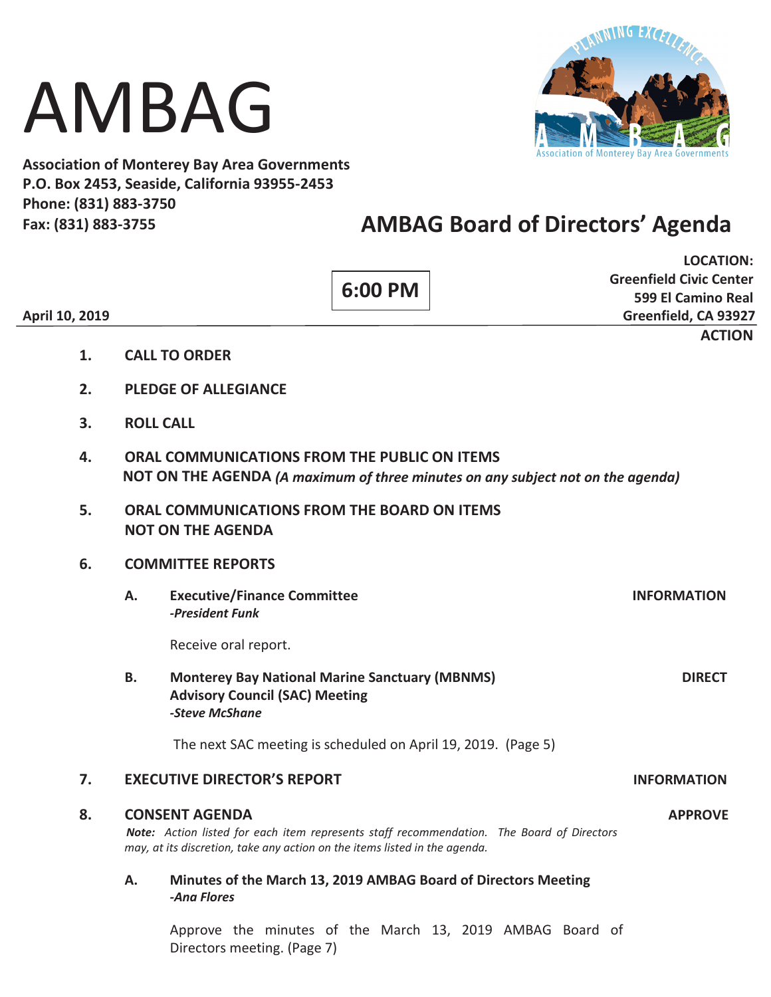# AMBAG



**Association of Monterey Bay Area Governments P.O. Box 2453, Seaside, California 93955-2453 Phone: (831) 883-3750 Fax: (831) 883-3755** 

# **AMBAG Board of Directors' Agenda**

| April 10, 2019 |                                                                                                                                       |                                                                                                                                                                                                                    |                                                                                                                  | 6:00 PM |  |                    | <b>LOCATION:</b><br><b>Greenfield Civic Center</b><br>599 El Camino Real<br>Greenfield, CA 93927 |
|----------------|---------------------------------------------------------------------------------------------------------------------------------------|--------------------------------------------------------------------------------------------------------------------------------------------------------------------------------------------------------------------|------------------------------------------------------------------------------------------------------------------|---------|--|--------------------|--------------------------------------------------------------------------------------------------|
|                | 1.                                                                                                                                    |                                                                                                                                                                                                                    | <b>CALL TO ORDER</b>                                                                                             |         |  |                    | <b>ACTION</b>                                                                                    |
|                | 2.                                                                                                                                    | <b>PLEDGE OF ALLEGIANCE</b>                                                                                                                                                                                        |                                                                                                                  |         |  |                    |                                                                                                  |
|                | 3.                                                                                                                                    | <b>ROLL CALL</b>                                                                                                                                                                                                   |                                                                                                                  |         |  |                    |                                                                                                  |
|                | ORAL COMMUNICATIONS FROM THE PUBLIC ON ITEMS<br>4.<br>NOT ON THE AGENDA (A maximum of three minutes on any subject not on the agenda) |                                                                                                                                                                                                                    |                                                                                                                  |         |  |                    |                                                                                                  |
|                | 5.                                                                                                                                    | ORAL COMMUNICATIONS FROM THE BOARD ON ITEMS<br><b>NOT ON THE AGENDA</b>                                                                                                                                            |                                                                                                                  |         |  |                    |                                                                                                  |
|                | 6.                                                                                                                                    | <b>COMMITTEE REPORTS</b>                                                                                                                                                                                           |                                                                                                                  |         |  |                    |                                                                                                  |
|                |                                                                                                                                       | Α.                                                                                                                                                                                                                 | <b>Executive/Finance Committee</b><br>-President Funk                                                            |         |  |                    | <b>INFORMATION</b>                                                                               |
|                |                                                                                                                                       |                                                                                                                                                                                                                    | Receive oral report.                                                                                             |         |  |                    |                                                                                                  |
|                |                                                                                                                                       | В.                                                                                                                                                                                                                 | <b>Monterey Bay National Marine Sanctuary (MBNMS)</b><br><b>Advisory Council (SAC) Meeting</b><br>-Steve McShane |         |  |                    | <b>DIRECT</b>                                                                                    |
|                |                                                                                                                                       |                                                                                                                                                                                                                    | The next SAC meeting is scheduled on April 19, 2019. (Page 5)                                                    |         |  |                    |                                                                                                  |
|                | 7.                                                                                                                                    | <b>EXECUTIVE DIRECTOR'S REPORT</b>                                                                                                                                                                                 |                                                                                                                  |         |  | <b>INFORMATION</b> |                                                                                                  |
|                | 8.                                                                                                                                    | <b>CONSENT AGENDA</b><br><b>APPROVE</b><br>Note: Action listed for each item represents staff recommendation. The Board of Directors<br>may, at its discretion, take any action on the items listed in the agenda. |                                                                                                                  |         |  |                    |                                                                                                  |
|                |                                                                                                                                       | Α.                                                                                                                                                                                                                 | Minutes of the March 13, 2019 AMBAG Board of Directors Meeting<br>-Ana Flores                                    |         |  |                    |                                                                                                  |
|                |                                                                                                                                       |                                                                                                                                                                                                                    | Approve the minutes of the March 13, 2019 AMBAG Board of<br>Directors meeting. (Page 7)                          |         |  |                    |                                                                                                  |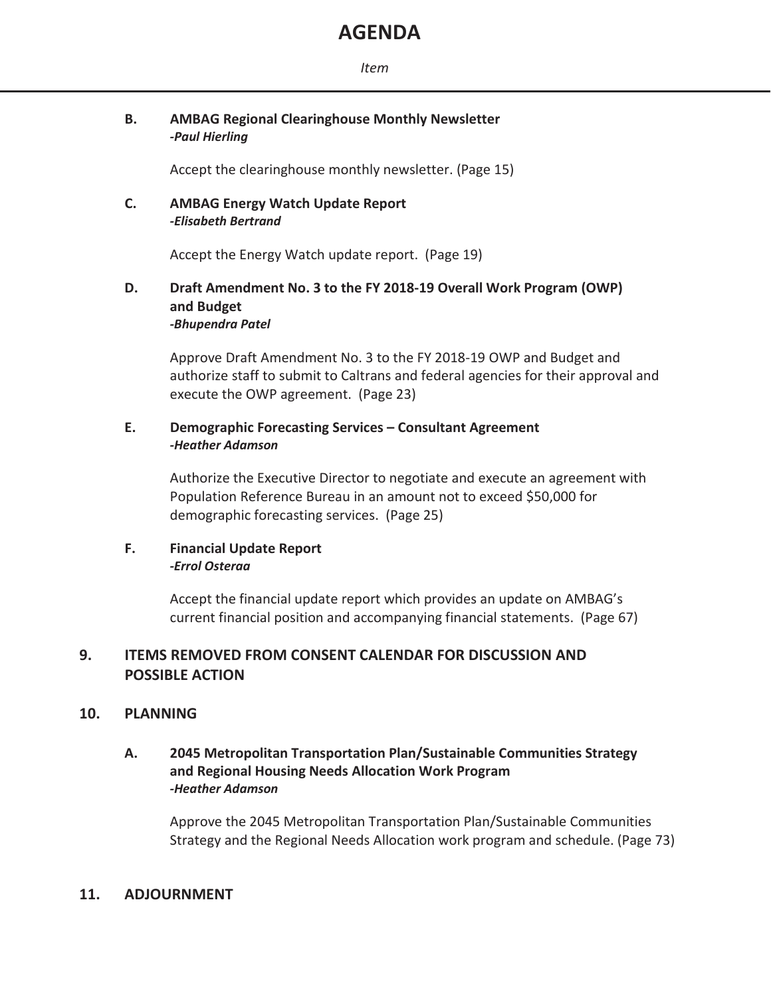# **AGENDA**

# **B. AMBAG Regional Clearinghouse Monthly Newsletter**   *-Paul Hierling*

Accept the clearinghouse monthly newsletter. (Page 15)

# **C. AMBAG Energy Watch Update Report**   *-Elisabeth Bertrand*

Accept the Energy Watch update report. (Page 19)

# **D. Draft Amendment No. 3 to the FY 2018-19 Overall Work Program (OWP) and Budget**  *-Bhupendra Patel*

 Approve Draft Amendment No. 3 to the FY 2018-19 OWP and Budget and authorize staff to submit to Caltrans and federal agencies for their approval and execute the OWP agreement. (Page 23)

# **E. Demographic Forecasting Services – Consultant Agreement**  *-Heather Adamson*

Authorize the Executive Director to negotiate and execute an agreement with Population Reference Bureau in an amount not to exceed \$50,000 for demographic forecasting services. (Page 25)

# **F. Financial Update Report**  *-Errol Osteraa*

 Accept the financial update report which provides an update on AMBAG's current financial position and accompanying financial statements. (Page 67)

# **9. ITEMS REMOVED FROM CONSENT CALENDAR FOR DISCUSSION AND POSSIBLE ACTION**

# **10. PLANNING**

# **A. 2045 Metropolitan Transportation Plan/Sustainable Communities Strategy and Regional Housing Needs Allocation Work Program**  *-Heather Adamson*

Approve the 2045 Metropolitan Transportation Plan/Sustainable Communities Strategy and the Regional Needs Allocation work program and schedule. (Page 73)

# **11. ADJOURNMENT**